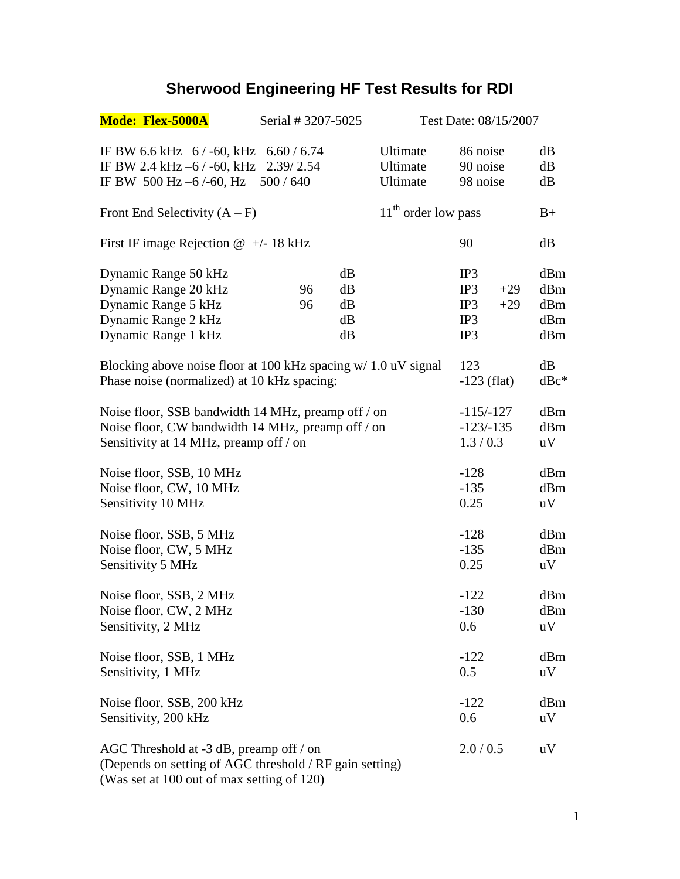## **Sherwood Engineering HF Test Results for RDI**

| <b>Mode: Flex-5000A</b>                                                                                                                              | Serial # 3207-5025 |                            |                                  | Test Date: 08/15/2007                             |                                 |  |
|------------------------------------------------------------------------------------------------------------------------------------------------------|--------------------|----------------------------|----------------------------------|---------------------------------------------------|---------------------------------|--|
| IF BW 6.6 kHz $-6/$ -60, kHz 6.60/6.74<br>IF BW 2.4 kHz -6 / -60, kHz 2.39/2.54<br>IF BW 500 Hz -6/-60, Hz 500/640                                   |                    |                            | Ultimate<br>Ultimate<br>Ultimate | 86 noise<br>90 noise<br>98 noise                  | dB<br>dB<br>dB                  |  |
| Front End Selectivity $(A - F)$                                                                                                                      |                    |                            | $11th$ order low pass            |                                                   | $B+$                            |  |
| First IF image Rejection $@ +/- 18$ kHz                                                                                                              |                    |                            |                                  | 90                                                | dB                              |  |
| Dynamic Range 50 kHz<br>Dynamic Range 20 kHz<br>Dynamic Range 5 kHz<br>Dynamic Range 2 kHz<br>Dynamic Range 1 kHz                                    | 96<br>96           | dB<br>dB<br>dB<br>dB<br>dB |                                  | IP3<br>$+29$<br>IP3<br>$+29$<br>IP3<br>IP3<br>IP3 | dBm<br>dBm<br>dBm<br>dBm<br>dBm |  |
| Blocking above noise floor at 100 kHz spacing w/ 1.0 uV signal<br>Phase noise (normalized) at 10 kHz spacing:                                        |                    |                            |                                  | 123<br>$-123$ (flat)                              | dB<br>$dBc^*$                   |  |
| Noise floor, SSB bandwidth 14 MHz, preamp of f / on<br>Noise floor, CW bandwidth 14 MHz, preamp of f / on<br>Sensitivity at 14 MHz, preamp of f / on |                    |                            |                                  | $-115/-127$<br>$-123/-135$<br>1.3/0.3             | dBm<br>dBm<br>uV                |  |
| Noise floor, SSB, 10 MHz<br>Noise floor, CW, 10 MHz<br>Sensitivity 10 MHz                                                                            |                    |                            |                                  | $-128$<br>$-135$<br>0.25                          | dBm<br>dBm<br>uV                |  |
| Noise floor, SSB, 5 MHz<br>Noise floor, CW, 5 MHz<br>Sensitivity 5 MHz                                                                               |                    |                            |                                  | $-128$<br>$-135$<br>0.25                          | dBm<br>dBm<br>uV                |  |
| Noise floor, SSB, 2 MHz<br>Noise floor, CW, 2 MHz<br>Sensitivity, 2 MHz                                                                              |                    |                            |                                  | $-122$<br>$-130$<br>0.6                           | dBm<br>dBm<br>uV                |  |
| Noise floor, SSB, 1 MHz<br>Sensitivity, 1 MHz                                                                                                        |                    |                            |                                  | $-122$<br>0.5                                     | dBm<br>uV                       |  |
| Noise floor, SSB, 200 kHz<br>Sensitivity, 200 kHz                                                                                                    |                    |                            |                                  | $-122$<br>0.6                                     | dBm<br>uV                       |  |
| AGC Threshold at $-3$ dB, preamp off / on<br>(Depends on setting of AGC threshold / RF gain setting)<br>(Was set at 100 out of max setting of 120)   |                    |                            |                                  | 2.0 / 0.5                                         | uV                              |  |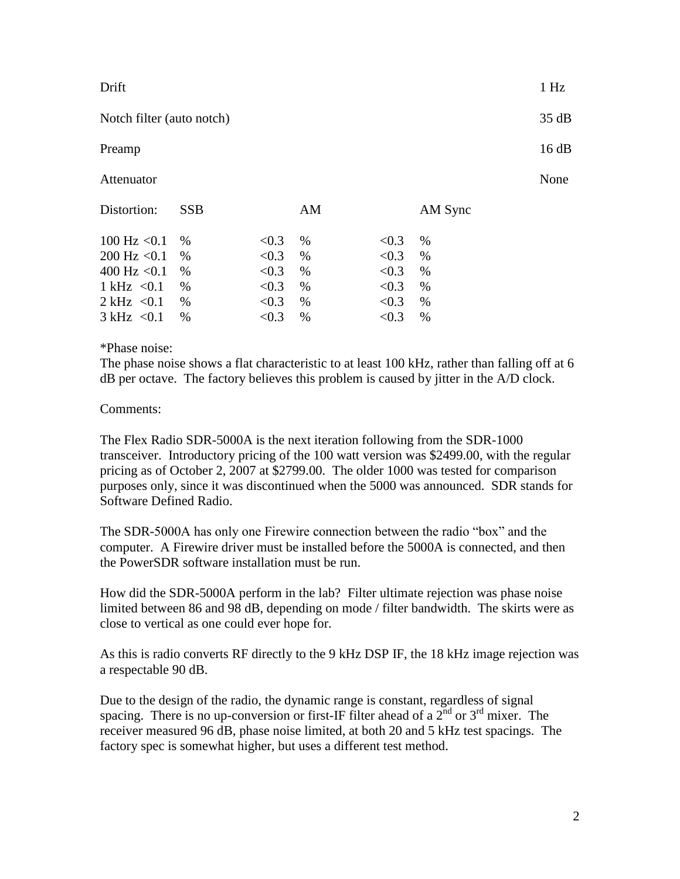| Drift                     |            |       |    |       |         | 1 Hz  |
|---------------------------|------------|-------|----|-------|---------|-------|
| Notch filter (auto notch) |            |       |    |       |         | 35 dB |
| Preamp                    |            |       |    |       |         | 16 dB |
| Attenuator                |            |       |    |       |         | None  |
| Distortion:               | <b>SSB</b> |       | AM |       | AM Sync |       |
| $100$ Hz $< 0.1$          | $\%$       | < 0.3 | %  | < 0.3 | $\%$    |       |
| $200$ Hz $< 0.1$          | $\%$       | < 0.3 | %  | < 0.3 | %       |       |
| 400 Hz $< 0.1$            | %          | < 0.3 | %  | < 0.3 | $\%$    |       |
| 1 kHz $< 0.1$             | $\%$       | < 0.3 | %  | < 0.3 | %       |       |
| 2 kHz $< 0.1$             | $\%$       | < 0.3 | %  | < 0.3 | $\%$    |       |
| 3 kHz < 0.1               | $\%$       | < 0.3 | %  | < 0.3 | $\%$    |       |

\*Phase noise:

The phase noise shows a flat characteristic to at least 100 kHz, rather than falling off at 6 dB per octave. The factory believes this problem is caused by jitter in the A/D clock.

## Comments:

The Flex Radio SDR-5000A is the next iteration following from the SDR-1000 transceiver. Introductory pricing of the 100 watt version was \$2499.00, with the regular pricing as of October 2, 2007 at \$2799.00. The older 1000 was tested for comparison purposes only, since it was discontinued when the 5000 was announced. SDR stands for Software Defined Radio.

The SDR-5000A has only one Firewire connection between the radio "box" and the computer. A Firewire driver must be installed before the 5000A is connected, and then the PowerSDR software installation must be run.

How did the SDR-5000A perform in the lab? Filter ultimate rejection was phase noise limited between 86 and 98 dB, depending on mode / filter bandwidth. The skirts were as close to vertical as one could ever hope for.

As this is radio converts RF directly to the 9 kHz DSP IF, the 18 kHz image rejection was a respectable 90 dB.

Due to the design of the radio, the dynamic range is constant, regardless of signal spacing. There is no up-conversion or first-IF filter ahead of a  $2<sup>nd</sup>$  or  $3<sup>rd</sup>$  mixer. The receiver measured 96 dB, phase noise limited, at both 20 and 5 kHz test spacings. The factory spec is somewhat higher, but uses a different test method.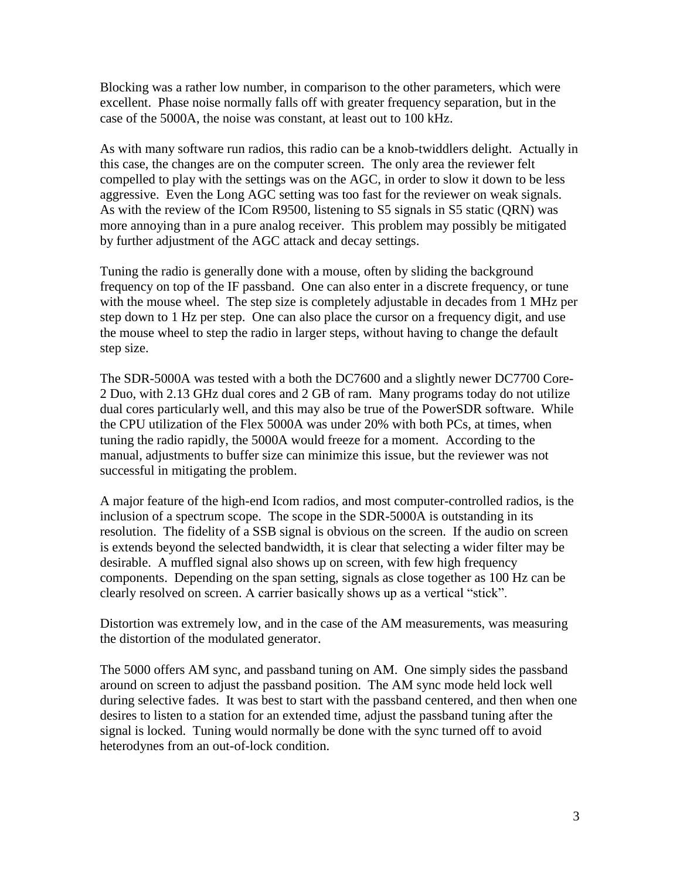Blocking was a rather low number, in comparison to the other parameters, which were excellent. Phase noise normally falls off with greater frequency separation, but in the case of the 5000A, the noise was constant, at least out to 100 kHz.

As with many software run radios, this radio can be a knob-twiddlers delight. Actually in this case, the changes are on the computer screen. The only area the reviewer felt compelled to play with the settings was on the AGC, in order to slow it down to be less aggressive. Even the Long AGC setting was too fast for the reviewer on weak signals. As with the review of the ICom R9500, listening to S5 signals in S5 static (QRN) was more annoying than in a pure analog receiver. This problem may possibly be mitigated by further adjustment of the AGC attack and decay settings.

Tuning the radio is generally done with a mouse, often by sliding the background frequency on top of the IF passband. One can also enter in a discrete frequency, or tune with the mouse wheel. The step size is completely adjustable in decades from 1 MHz per step down to 1 Hz per step. One can also place the cursor on a frequency digit, and use the mouse wheel to step the radio in larger steps, without having to change the default step size.

The SDR-5000A was tested with a both the DC7600 and a slightly newer DC7700 Core-2 Duo, with 2.13 GHz dual cores and 2 GB of ram. Many programs today do not utilize dual cores particularly well, and this may also be true of the PowerSDR software. While the CPU utilization of the Flex 5000A was under 20% with both PCs, at times, when tuning the radio rapidly, the 5000A would freeze for a moment. According to the manual, adjustments to buffer size can minimize this issue, but the reviewer was not successful in mitigating the problem.

A major feature of the high-end Icom radios, and most computer-controlled radios, is the inclusion of a spectrum scope. The scope in the SDR-5000A is outstanding in its resolution. The fidelity of a SSB signal is obvious on the screen. If the audio on screen is extends beyond the selected bandwidth, it is clear that selecting a wider filter may be desirable. A muffled signal also shows up on screen, with few high frequency components. Depending on the span setting, signals as close together as 100 Hz can be clearly resolved on screen. A carrier basically shows up as a vertical "stick".

Distortion was extremely low, and in the case of the AM measurements, was measuring the distortion of the modulated generator.

The 5000 offers AM sync, and passband tuning on AM. One simply sides the passband around on screen to adjust the passband position. The AM sync mode held lock well during selective fades. It was best to start with the passband centered, and then when one desires to listen to a station for an extended time, adjust the passband tuning after the signal is locked. Tuning would normally be done with the sync turned off to avoid heterodynes from an out-of-lock condition.